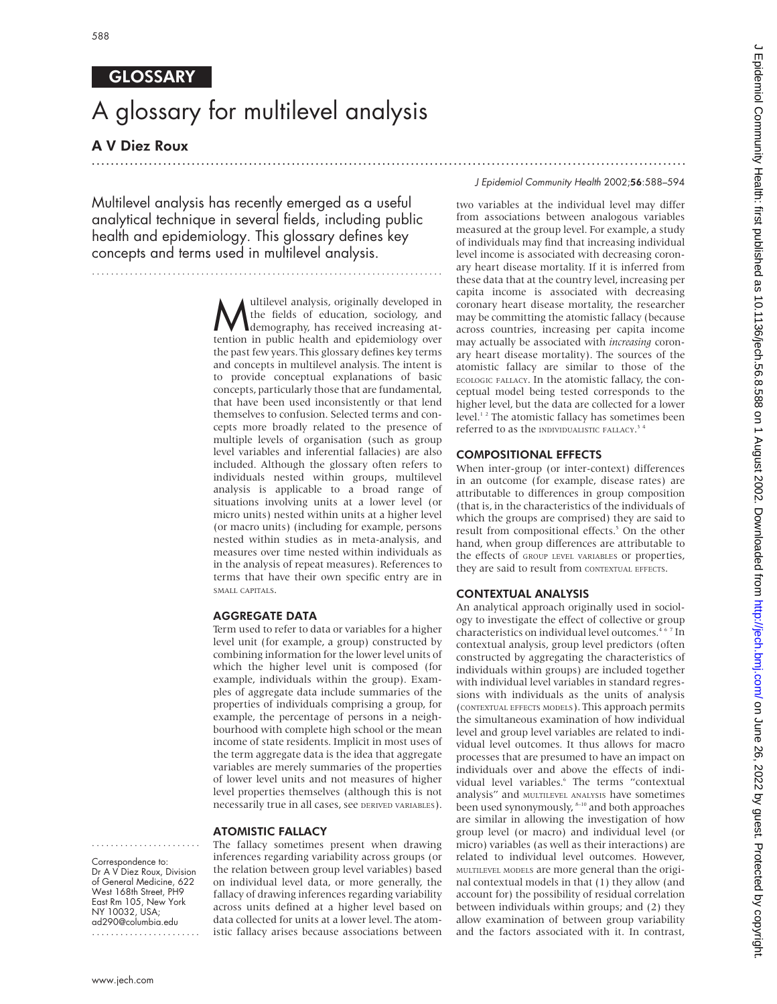# **GLOSSARY**

# A glossary for multilevel analysis

# A V Diez Roux

# .............................................................................................................................

Multilevel analysis has recently emerged as a useful analytical technique in several fields, including public health and epidemiology. This glossary defines key concepts and terms used in multilevel analysis.

> **Multilevel analysis, originally developed in**<br>the fields of education, sociology, and<br>demography, has received increasing atthe fields of education, sociology, and tention in public health and epidemiology over the past few years. This glossary defines key terms and concepts in multilevel analysis. The intent is to provide conceptual explanations of basic concepts, particularly those that are fundamental, that have been used inconsistently or that lend themselves to confusion. Selected terms and concepts more broadly related to the presence of multiple levels of organisation (such as group level variables and inferential fallacies) are also included. Although the glossary often refers to individuals nested within groups, multilevel analysis is applicable to a broad range of situations involving units at a lower level (or micro units) nested within units at a higher level (or macro units) (including for example, persons nested within studies as in meta-analysis, and measures over time nested within individuals as in the analysis of repeat measures). References to terms that have their own specific entry are in SMALL CAPITALS.

..........................................................................

# AGGREGATE DATA

Term used to refer to data or variables for a higher level unit (for example, a group) constructed by combining information for the lower level units of which the higher level unit is composed (for example, individuals within the group). Examples of aggregate data include summaries of the properties of individuals comprising a group, for example, the percentage of persons in a neighbourhood with complete high school or the mean income of state residents. Implicit in most uses of the term aggregate data is the idea that aggregate variables are merely summaries of the properties of lower level units and not measures of higher level properties themselves (although this is not necessarily true in all cases, see DERIVED VARIABLES).

# ATOMISTIC FALLACY

The fallacy sometimes present when drawing inferences regarding variability across groups (or the relation between group level variables) based on individual level data, or more generally, the fallacy of drawing inferences regarding variability across units defined at a higher level based on data collected for units at a lower level. The atomistic fallacy arises because associations between

#### J Epidemiol Community Health 2002;56:588–594

two variables at the individual level may differ from associations between analogous variables measured at the group level. For example, a study of individuals may find that increasing individual level income is associated with decreasing coronary heart disease mortality. If it is inferred from these data that at the country level, increasing per capita income is associated with decreasing coronary heart disease mortality, the researcher may be committing the atomistic fallacy (because across countries, increasing per capita income may actually be associated with *increasing* coronary heart disease mortality). The sources of the atomistic fallacy are similar to those of the ECOLOGIC FALLACY. In the atomistic fallacy, the conceptual model being tested corresponds to the higher level, but the data are collected for a lower level.<sup>12</sup> The atomistic fallacy has sometimes been referred to as the INDIVIDUALISTIC FALLACY.<sup>34</sup>

# COMPOSITIONAL EFFECTS

When inter-group (or inter-context) differences in an outcome (for example, disease rates) are attributable to differences in group composition (that is, in the characteristics of the individuals of which the groups are comprised) they are said to result from compositional effects.<sup>5</sup> On the other hand, when group differences are attributable to the effects of GROUP LEVEL VARIABLES or properties, they are said to result from CONTEXTUAL EFFECTS.

#### CONTEXTUAL ANALYSIS

An analytical approach originally used in sociology to investigate the effect of collective or group characteristics on individual level outcomes.<sup>467</sup> In contextual analysis, group level predictors (often constructed by aggregating the characteristics of individuals within groups) are included together with individual level variables in standard regressions with individuals as the units of analysis (CONTEXTUAL EFFECTS MODELS). This approach permits the simultaneous examination of how individual level and group level variables are related to individual level outcomes. It thus allows for macro processes that are presumed to have an impact on individuals over and above the effects of individual level variables.<sup>6</sup> The terms "contextual analysis" and MULTILEVEL ANALYSIS have sometimes been used synonymously,  $s$ <sup>-10</sup> and both approaches are similar in allowing the investigation of how group level (or macro) and individual level (or micro) variables (as well as their interactions) are related to individual level outcomes. However, MULTILEVEL MODELS are more general than the original contextual models in that (1) they allow (and account for) the possibility of residual correlation between individuals within groups; and (2) they allow examination of between group variability and the factors associated with it. In contrast,

Correspondence to: Dr A V Diez Roux, Division of General Medicine, 622 West 168th Street, PH9 East Rm 105, New York NY 10032, USA; ad290@columbia.edu .......................

.......................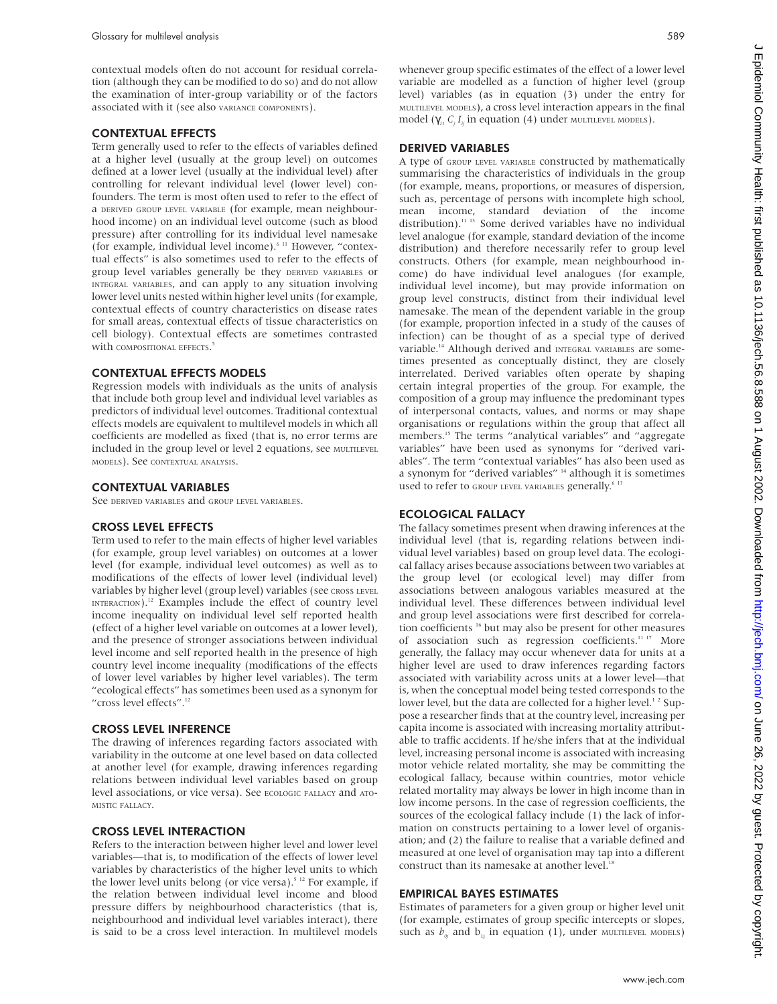contextual models often do not account for residual correlation (although they can be modified to do so) and do not allow the examination of inter-group variability or of the factors associated with it (see also VARIANCE COMPONENTS).

#### CONTEXTUAL EFFECTS

Term generally used to refer to the effects of variables defined at a higher level (usually at the group level) on outcomes defined at a lower level (usually at the individual level) after controlling for relevant individual level (lower level) confounders. The term is most often used to refer to the effect of a DERIVED GROUP LEVEL VARIABLE (for example, mean neighbourhood income) on an individual level outcome (such as blood pressure) after controlling for its individual level namesake (for example, individual level income).6 11 However, "contextual effects" is also sometimes used to refer to the effects of group level variables generally be they DERIVED VARIABLES or INTEGRAL VARIABLES, and can apply to any situation involving lower level units nested within higher level units (for example, contextual effects of country characteristics on disease rates for small areas, contextual effects of tissue characteristics on cell biology). Contextual effects are sometimes contrasted with COMPOSITIONAL EFFECTS. 5

#### CONTEXTUAL EFFECTS MODELS

Regression models with individuals as the units of analysis that include both group level and individual level variables as predictors of individual level outcomes. Traditional contextual effects models are equivalent to multilevel models in which all coefficients are modelled as fixed (that is, no error terms are included in the group level or level 2 equations, see MULTILEVEL MODELS). See CONTEXTUAL ANALYSIS.

#### CONTEXTUAL VARIABLES

See DERIVED VARIABLES and GROUP LEVEL VARIABLES.

# CROSS LEVEL EFFECTS

Term used to refer to the main effects of higher level variables (for example, group level variables) on outcomes at a lower level (for example, individual level outcomes) as well as to modifications of the effects of lower level (individual level) variables by higher level (group level) variables (see CROSS LEVEL INTERACTION).<sup>12</sup> Examples include the effect of country level income inequality on individual level self reported health (effect of a higher level variable on outcomes at a lower level), and the presence of stronger associations between individual level income and self reported health in the presence of high country level income inequality (modifications of the effects of lower level variables by higher level variables). The term "ecological effects" has sometimes been used as a synonym for "cross level effects".<sup>12</sup>

# CROSS LEVEL INFERENCE

The drawing of inferences regarding factors associated with variability in the outcome at one level based on data collected at another level (for example, drawing inferences regarding relations between individual level variables based on group level associations, or vice versa). See ECOLOGIC FALLACY and ATO-MISTIC FALLACY.

# CROSS LEVEL INTERACTION

Refers to the interaction between higher level and lower level variables—that is, to modification of the effects of lower level variables by characteristics of the higher level units to which the lower level units belong (or vice versa).<sup>5 12</sup> For example, if the relation between individual level income and blood pressure differs by neighbourhood characteristics (that is, neighbourhood and individual level variables interact), there is said to be a cross level interaction. In multilevel models

whenever group specific estimates of the effect of a lower level variable are modelled as a function of higher level (group level) variables (as in equation (3) under the entry for MULTILEVEL MODELS), a cross level interaction appears in the final model ( $γ_{ij}$   $C_i$   $I_{ij}$  in equation (4) under MULTILEVEL MODELS).

# DERIVED VARIABLES

A type of GROUP LEVEL VARIABLE constructed by mathematically summarising the characteristics of individuals in the group (for example, means, proportions, or measures of dispersion, such as, percentage of persons with incomplete high school, mean income, standard deviation of the income distribution).<sup>11 13</sup> Some derived variables have no individual level analogue (for example, standard deviation of the income distribution) and therefore necessarily refer to group level constructs. Others (for example, mean neighbourhood income) do have individual level analogues (for example, individual level income), but may provide information on group level constructs, distinct from their individual level namesake. The mean of the dependent variable in the group (for example, proportion infected in a study of the causes of infection) can be thought of as a special type of derived variable.14 Although derived and INTEGRAL VARIABLES are sometimes presented as conceptually distinct, they are closely interrelated. Derived variables often operate by shaping certain integral properties of the group. For example, the composition of a group may influence the predominant types of interpersonal contacts, values, and norms or may shape organisations or regulations within the group that affect all members.15 The terms "analytical variables" and "aggregate variables" have been used as synonyms for "derived variables". The term "contextual variables" has also been used as a synonym for "derived variables" <sup>14</sup> although it is sometimes used to refer to GROUP LEVEL VARIABLES generally.<sup>6 13</sup>

# ECOLOGICAL FALLACY

The fallacy sometimes present when drawing inferences at the individual level (that is, regarding relations between individual level variables) based on group level data. The ecological fallacy arises because associations between two variables at the group level (or ecological level) may differ from associations between analogous variables measured at the individual level. These differences between individual level and group level associations were first described for correlation coefficients <sup>16</sup> but may also be present for other measures of association such as regression coefficients.<sup>11 17</sup> More generally, the fallacy may occur whenever data for units at a higher level are used to draw inferences regarding factors associated with variability across units at a lower level—that is, when the conceptual model being tested corresponds to the lower level, but the data are collected for a higher level.<sup>12</sup> Suppose a researcher finds that at the country level, increasing per capita income is associated with increasing mortality attributable to traffic accidents. If he/she infers that at the individual level, increasing personal income is associated with increasing motor vehicle related mortality, she may be committing the ecological fallacy, because within countries, motor vehicle related mortality may always be lower in high income than in low income persons. In the case of regression coefficients, the sources of the ecological fallacy include (1) the lack of information on constructs pertaining to a lower level of organisation; and (2) the failure to realise that a variable defined and measured at one level of organisation may tap into a different construct than its namesake at another level.<sup>18</sup>

# EMPIRICAL BAYES ESTIMATES

Estimates of parameters for a given group or higher level unit (for example, estimates of group specific intercepts or slopes, such as  $b_{0j}$  and  $b_{1j}$  in equation (1), under MULTILEVEL MODELS)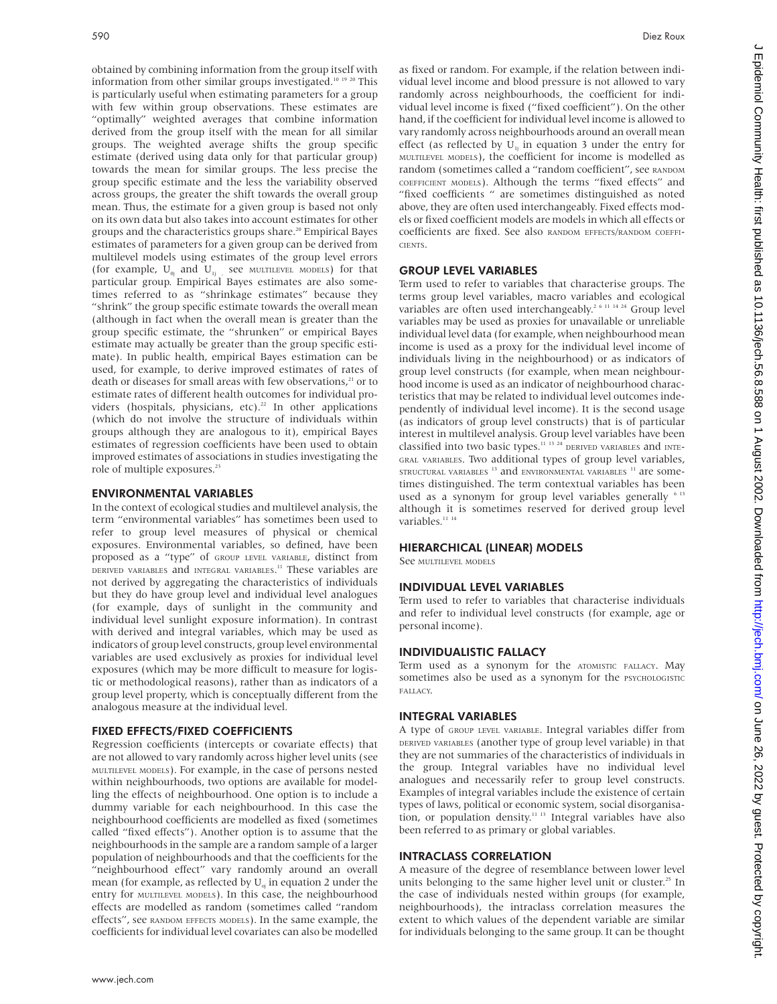obtained by combining information from the group itself with information from other similar groups investigated.10 19 20 This is particularly useful when estimating parameters for a group with few within group observations. These estimates are "optimally" weighted averages that combine information derived from the group itself with the mean for all similar groups. The weighted average shifts the group specific estimate (derived using data only for that particular group) towards the mean for similar groups. The less precise the group specific estimate and the less the variability observed across groups, the greater the shift towards the overall group mean. Thus, the estimate for a given group is based not only on its own data but also takes into account estimates for other groups and the characteristics groups share.<sup>20</sup> Empirical Bayes estimates of parameters for a given group can be derived from multilevel models using estimates of the group level errors (for example,  $U_{0j}$  and  $U_{1j}$  , see MULTILEVEL MODELS) for that particular group. Empirical Bayes estimates are also sometimes referred to as "shrinkage estimates" because they "shrink" the group specific estimate towards the overall mean (although in fact when the overall mean is greater than the group specific estimate, the "shrunken" or empirical Bayes estimate may actually be greater than the group specific estimate). In public health, empirical Bayes estimation can be used, for example, to derive improved estimates of rates of death or diseases for small areas with few observations, $21$  or to estimate rates of different health outcomes for individual providers (hospitals, physicians, etc).<sup>22</sup> In other applications (which do not involve the structure of individuals within groups although they are analogous to it), empirical Bayes estimates of regression coefficients have been used to obtain improved estimates of associations in studies investigating the role of multiple exposures.<sup>23</sup>

# ENVIRONMENTAL VARIABLES

In the context of ecological studies and multilevel analysis, the term "environmental variables" has sometimes been used to refer to group level measures of physical or chemical exposures. Environmental variables, so defined, have been proposed as a "type" of GROUP LEVEL VARIABLE, distinct from DERIVED VARIABLES and INTEGRAL VARIABLES.<sup>11</sup> These variables are not derived by aggregating the characteristics of individuals but they do have group level and individual level analogues (for example, days of sunlight in the community and individual level sunlight exposure information). In contrast with derived and integral variables, which may be used as indicators of group level constructs, group level environmental variables are used exclusively as proxies for individual level exposures (which may be more difficult to measure for logistic or methodological reasons), rather than as indicators of a group level property, which is conceptually different from the analogous measure at the individual level.

#### FIXED EFFECTS/FIXED COEFFICIENTS

Regression coefficients (intercepts or covariate effects) that are not allowed to vary randomly across higher level units (see MULTILEVEL MODELS). For example, in the case of persons nested within neighbourhoods, two options are available for modelling the effects of neighbourhood. One option is to include a dummy variable for each neighbourhood. In this case the neighbourhood coefficients are modelled as fixed (sometimes called "fixed effects"). Another option is to assume that the neighbourhoods in the sample are a random sample of a larger population of neighbourhoods and that the coefficients for the "neighbourhood effect" vary randomly around an overall mean (for example, as reflected by  $U_{\alpha}$  in equation 2 under the entry for MULTILEVEL MODELS). In this case, the neighbourhood effects are modelled as random (sometimes called "random effects", see RANDOM EFFECTS MODELS). In the same example, the coefficients for individual level covariates can also be modelled

J Epidemiol Community Health: first published as 10.11136/jech.56.8.588 on 1 August 2002. Downloaded from http://jech.bmj.com/ on June 26, 2022 by guest. Protected by copyright on June 26, 2022 by guest. Protected by copyright. <http://jech.bmj.com/> J Epidemiol Community Health: first published as 10.1136/jech.56.8.588 on 1 August 2002. Downloaded from

as fixed or random. For example, if the relation between individual level income and blood pressure is not allowed to vary randomly across neighbourhoods, the coefficient for individual level income is fixed ("fixed coefficient"). On the other hand, if the coefficient for individual level income is allowed to vary randomly across neighbourhoods around an overall mean effect (as reflected by  $U_{ij}$  in equation 3 under the entry for MULTILEVEL MODELS), the coefficient for income is modelled as random (sometimes called a "random coefficient", see RANDOM COEFFICIENT MODELS). Although the terms "fixed effects" and "fixed coefficients " are sometimes distinguished as noted above, they are often used interchangeably. Fixed effects models or fixed coefficient models are models in which all effects or coefficients are fixed. See also RANDOM EFFECTS/RANDOM COEFFI-CIENTS.

# GROUP LEVEL VARIABLES

Term used to refer to variables that characterise groups. The terms group level variables, macro variables and ecological variables are often used interchangeably.<sup>2 6 11 14 24</sup> Group level variables may be used as proxies for unavailable or unreliable individual level data (for example, when neighbourhood mean income is used as a proxy for the individual level income of individuals living in the neighbourhood) or as indicators of group level constructs (for example, when mean neighbourhood income is used as an indicator of neighbourhood characteristics that may be related to individual level outcomes independently of individual level income). It is the second usage (as indicators of group level constructs) that is of particular interest in multilevel analysis. Group level variables have been classified into two basic types.11 13 24 DERIVED VARIABLES and INTE-GRAL VARIABLES. Two additional types of group level variables, STRUCTURAL VARIABLES<sup>13</sup> and ENVIRONMENTAL VARIABLES<sup>11</sup> are sometimes distinguished. The term contextual variables has been used as a synonym for group level variables generally  $\degree$ although it is sometimes reserved for derived group level variables.<sup>11 14</sup>

#### HIERARCHICAL (LINEAR) MODELS

See MULTILEVEL MODELS

# INDIVIDUAL LEVEL VARIABLES

Term used to refer to variables that characterise individuals and refer to individual level constructs (for example, age or personal income).

#### INDIVIDUALISTIC FALLACY

Term used as a synonym for the ATOMISTIC FALLACY. May sometimes also be used as a synonym for the PSYCHOLOGISTIC FALLACY.

# INTEGRAL VARIABLES

A type of GROUP LEVEL VARIABLE. Integral variables differ from DERIVED VARIABLES (another type of group level variable) in that they are not summaries of the characteristics of individuals in the group. Integral variables have no individual level analogues and necessarily refer to group level constructs. Examples of integral variables include the existence of certain types of laws, political or economic system, social disorganisation, or population density.<sup>11 13</sup> Integral variables have also been referred to as primary or global variables.

# INTRACLASS CORRELATION

A measure of the degree of resemblance between lower level units belonging to the same higher level unit or cluster.<sup>25</sup> In the case of individuals nested within groups (for example, neighbourhoods), the intraclass correlation measures the extent to which values of the dependent variable are similar for individuals belonging to the same group. It can be thought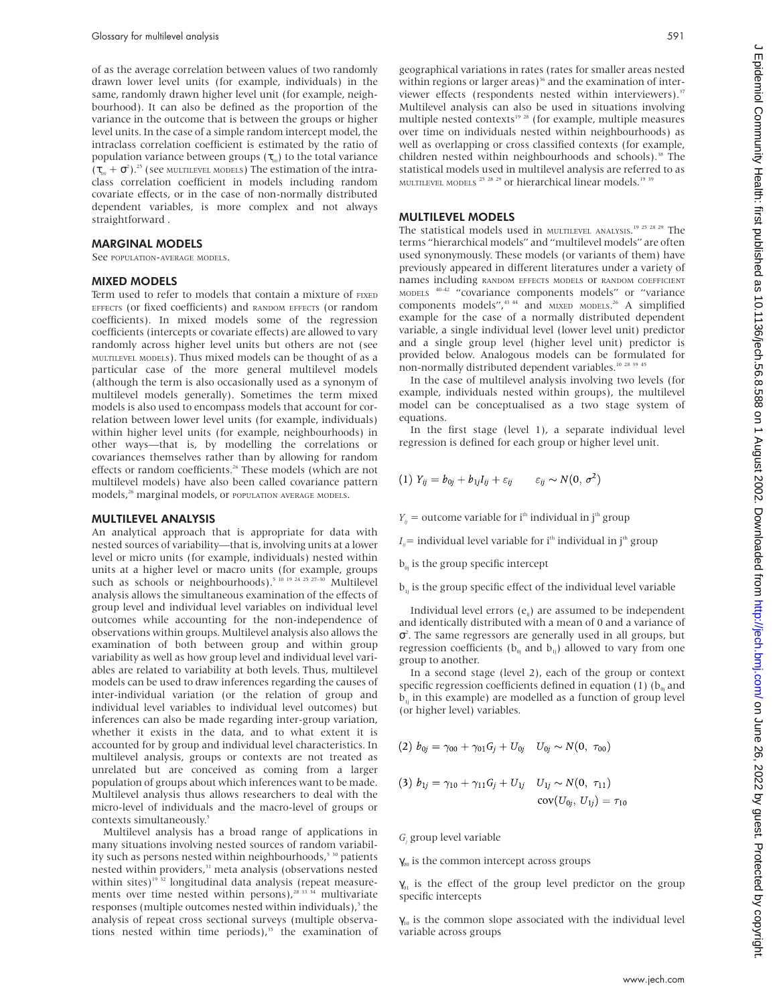of as the average correlation between values of two randomly drawn lower level units (for example, individuals) in the same, randomly drawn higher level unit (for example, neighbourhood). It can also be defined as the proportion of the variance in the outcome that is between the groups or higher level units. In the case of a simple random intercept model, the intraclass correlation coefficient is estimated by the ratio of population variance between groups  $(\tau_{00})$  to the total variance  $(\tau_{00} + \sigma^2)^{25}$  (see MULTILEVEL MODELS) The estimation of the intraclass correlation coefficient in models including random covariate effects, or in the case of non-normally distributed dependent variables, is more complex and not always straightforward .

# MARGINAL MODELS

See POPULATION-AVERAGE MODELS.

#### MIXED MODELS

Term used to refer to models that contain a mixture of FIXED EFFECTS (or fixed coefficients) and RANDOM EFFECTS (or random coefficients). In mixed models some of the regression coefficients (intercepts or covariate effects) are allowed to vary randomly across higher level units but others are not (see MULTILEVEL MODELS). Thus mixed models can be thought of as a particular case of the more general multilevel models (although the term is also occasionally used as a synonym of multilevel models generally). Sometimes the term mixed models is also used to encompass models that account for correlation between lower level units (for example, individuals) within higher level units (for example, neighbourhoods) in other ways—that is, by modelling the correlations or covariances themselves rather than by allowing for random effects or random coefficients.<sup>26</sup> These models (which are not multilevel models) have also been called covariance pattern models,<sup>26</sup> marginal models, or POPULATION AVERAGE MODELS.

#### MULTILEVEL ANALYSIS

An analytical approach that is appropriate for data with nested sources of variability—that is, involving units at a lower level or micro units (for example, individuals) nested within units at a higher level or macro units (for example, groups such as schools or neighbourhoods).<sup>5 10 19 24 25 27-30</sup> Multilevel analysis allows the simultaneous examination of the effects of group level and individual level variables on individual level outcomes while accounting for the non-independence of observations within groups. Multilevel analysis also allows the examination of both between group and within group variability as well as how group level and individual level variables are related to variability at both levels. Thus, multilevel models can be used to draw inferences regarding the causes of inter-individual variation (or the relation of group and individual level variables to individual level outcomes) but inferences can also be made regarding inter-group variation, whether it exists in the data, and to what extent it is accounted for by group and individual level characteristics. In multilevel analysis, groups or contexts are not treated as unrelated but are conceived as coming from a larger population of groups about which inferences want to be made. Multilevel analysis thus allows researchers to deal with the micro-level of individuals and the macro-level of groups or contexts simultaneously.5

Multilevel analysis has a broad range of applications in many situations involving nested sources of random variability such as persons nested within neighbourhoods,<sup>5 30</sup> patients nested within providers,<sup>31</sup> meta analysis (observations nested within sites)<sup>19 32</sup> longitudinal data analysis (repeat measurements over time nested within persons), $28$  33 34 multivariate responses (multiple outcomes nested within individuals),<sup>5</sup> the analysis of repeat cross sectional surveys (multiple observations nested within time periods), $35$  the examination of geographical variations in rates (rates for smaller areas nested within regions or larger areas) $36$  and the examination of interviewer effects (respondents nested within interviewers).<sup>37</sup> Multilevel analysis can also be used in situations involving multiple nested contexts<sup>19 28</sup> (for example, multiple measures over time on individuals nested within neighbourhoods) as well as overlapping or cross classified contexts (for example, children nested within neighbourhoods and schools).<sup>38</sup> The statistical models used in multilevel analysis are referred to as MULTILEVEL MODELS<sup>25</sup> 28 <sup>29</sup> or hierarchical linear models.<sup>19</sup>

#### MULTILEVEL MODELS

The statistical models used in MULTILEVEL ANALYSIS.<sup>19 25 28 29</sup> The terms "hierarchical models" and "multilevel models" are often used synonymously. These models (or variants of them) have previously appeared in different literatures under a variety of names including RANDOM EFFECTS MODELS or RANDOM COEFFICIENT MODELS 40–42 "covariance components models" or "variance components models",<sup>43 44</sup> and MIXED MODELS.<sup>26</sup> A simplified example for the case of a normally distributed dependent variable, a single individual level (lower level unit) predictor and a single group level (higher level unit) predictor is provided below. Analogous models can be formulated for non-normally distributed dependent variables.<sup>10 28 39 45</sup>

In the case of multilevel analysis involving two levels (for example, individuals nested within groups), the multilevel model can be conceptualised as a two stage system of equations.

In the first stage (level 1), a separate individual level regression is defined for each group or higher level unit.

(1) 
$$
Y_{ij} = b_{0j} + b_{1j}I_{ij} + \varepsilon_{ij}
$$
  $\varepsilon_{ij} \sim N(0, \sigma^2)$ 

 $Y_{ii}$  = outcome variable for i<sup>th</sup> individual in j<sup>th</sup> group

 $I_{ii}$ = individual level variable for i<sup>th</sup> individual in j<sup>th</sup> group

 $b_{0i}$  is the group specific intercept

 $b_{ij}$  is the group specific effect of the individual level variable

Individual level errors  $(e_{ii})$  are assumed to be independent and identically distributed with a mean of 0 and a variance of  $\sigma^2$ . The same regressors are generally used in all groups, but regression coefficients ( $b_{0j}$  and  $b_{1j}$ ) allowed to vary from one group to another.

In a second stage (level 2), each of the group or context specific regression coefficients defined in equation (1) ( $b_{0i}$  and  $b_{1i}$  in this example) are modelled as a function of group level (or higher level) variables.

(2) 
$$
b_{0i} = \gamma_{00} + \gamma_{01} G_i + U_{0i} \quad U_{0i} \sim N(0, \tau_{00})
$$

(3) 
$$
b_{1j} = \gamma_{10} + \gamma_{11}G_j + U_{1j} \quad U_{1j} \sim N(0, \tau_{11})
$$
  
 
$$
cov(U_{0j}, U_{1j}) = \tau_{10}
$$

*Gj* group level variable

 $\gamma_{00}$  is the common intercept across groups

 $\gamma_{01}$  is the effect of the group level predictor on the group specific intercepts

 $\gamma_{10}$  is the common slope associated with the individual level variable across groups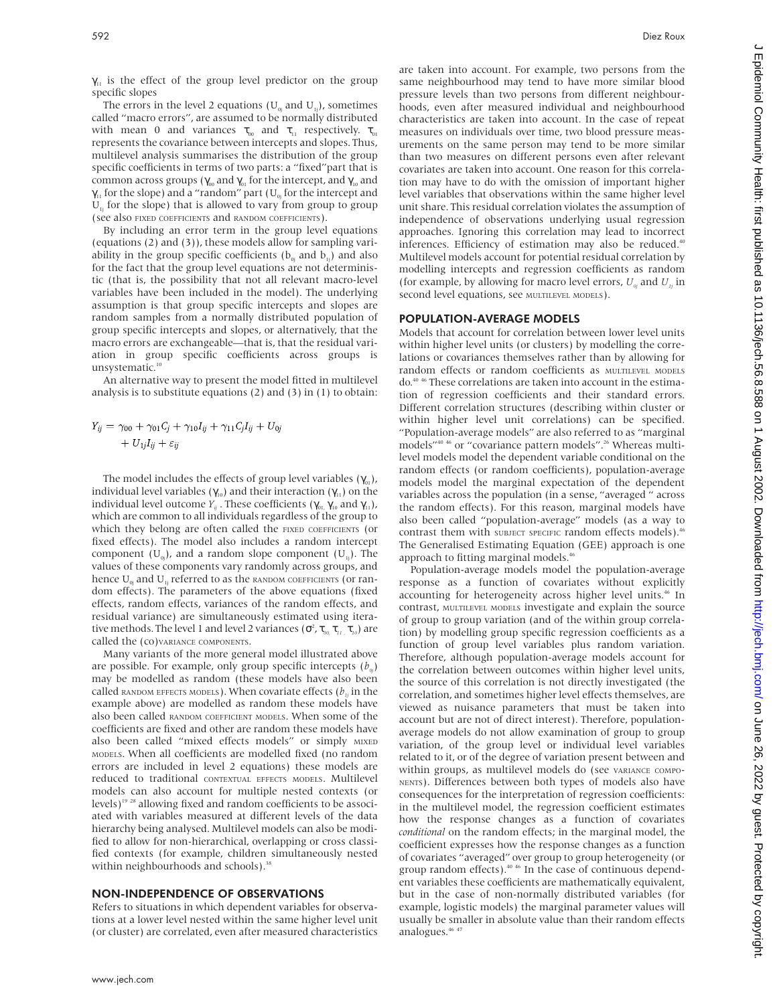$\gamma_{11}$  is the effect of the group level predictor on the group specific slopes

The errors in the level 2 equations ( $U_{0i}$  and  $U_{1i}$ ), sometimes called "macro errors", are assumed to be normally distributed with mean 0 and variances  $\tau_{00}$  and  $\tau_{11}$  respectively.  $\tau_{01}$ represents the covariance between intercepts and slopes. Thus, multilevel analysis summarises the distribution of the group specific coefficients in terms of two parts: a "fixed"part that is common across groups ( $γ_{00}$  and  $γ_{01}$  for the intercept, and  $γ_{10}$  and  $\gamma_{11}$  for the slope) and a "random" part (U<sub>0i</sub> for the intercept and  $U_{1j}$  for the slope) that is allowed to vary from group to group (see also FIXED COEFFICIENTS and RANDOM COEFFICIENTS).

By including an error term in the group level equations (equations (2) and (3)), these models allow for sampling variability in the group specific coefficients ( $b_{0j}$  and  $b_{1j}$ ) and also for the fact that the group level equations are not deterministic (that is, the possibility that not all relevant macro-level variables have been included in the model). The underlying assumption is that group specific intercepts and slopes are random samples from a normally distributed population of group specific intercepts and slopes, or alternatively, that the macro errors are exchangeable—that is, that the residual variation in group specific coefficients across groups is unsystematic.<sup>10</sup>

An alternative way to present the model fitted in multilevel analysis is to substitute equations (2) and (3) in (1) to obtain:

$$
Y_{ij} = \gamma_{00} + \gamma_{01}C_j + \gamma_{10}I_{ij} + \gamma_{11}C_jI_{ij} + U_{0j}
$$
  
+ 
$$
U_{1j}I_{ij} + \varepsilon_{ij}
$$

The model includes the effects of group level variables  $(\gamma_0)$ , individual level variables (γ<sub>10</sub>) and their interaction (γ<sub>11</sub>) on the individual level outcome *Y<sub>ij</sub>*. These coefficients ( $\gamma_{01}$ ,  $\gamma_{10}$  and  $\gamma_{11}$ ), which are common to all individuals regardless of the group to which they belong are often called the FIXED COEFFICIENTS (or fixed effects). The model also includes a random intercept component  $(U_{0})$ , and a random slope component  $(U_{1})$ . The values of these components vary randomly across groups, and hence  $U_{0i}$  and  $U_{1i}$  referred to as the RANDOM COEFFICIENTS (or random effects). The parameters of the above equations (fixed effects, random effects, variances of the random effects, and residual variance) are simultaneously estimated using iterative methods. The level 1 and level 2 variances (σ<sup>2</sup>, τ<sub>00,</sub> τ<sub>11 ,</sub> τ<sub>10</sub>) are called the (co)VARIANCE COMPONENTS.

Many variants of the more general model illustrated above are possible. For example, only group specific intercepts  $(b_{\alpha})$ may be modelled as random (these models have also been called RANDOM EFFECTS MODELS). When covariate effects  $(b_{ij}$  in the example above) are modelled as random these models have also been called RANDOM COEFFICIENT MODELS. When some of the coefficients are fixed and other are random these models have also been called "mixed effects models" or simply MIXED MODELS. When all coefficients are modelled fixed (no random errors are included in level 2 equations) these models are reduced to traditional CONTEXTUAL EFFECTS MODELS. Multilevel models can also account for multiple nested contexts (or levels)19 28 allowing fixed and random coefficients to be associated with variables measured at different levels of the data hierarchy being analysed. Multilevel models can also be modified to allow for non-hierarchical, overlapping or cross classified contexts (for example, children simultaneously nested within neighbourhoods and schools).<sup>38</sup>

# NON-INDEPENDENCE OF OBSERVATIONS

Refers to situations in which dependent variables for observations at a lower level nested within the same higher level unit (or cluster) are correlated, even after measured characteristics are taken into account. For example, two persons from the same neighbourhood may tend to have more similar blood pressure levels than two persons from different neighbourhoods, even after measured individual and neighbourhood characteristics are taken into account. In the case of repeat measures on individuals over time, two blood pressure measurements on the same person may tend to be more similar than two measures on different persons even after relevant covariates are taken into account. One reason for this correlation may have to do with the omission of important higher level variables that observations within the same higher level unit share. This residual correlation violates the assumption of independence of observations underlying usual regression approaches. Ignoring this correlation may lead to incorrect inferences. Efficiency of estimation may also be reduced.<sup>40</sup> Multilevel models account for potential residual correlation by modelling intercepts and regression coefficients as random (for example, by allowing for macro level errors,  $U_{\alpha}$  and  $U_{ij}$  in second level equations, see MULTILEVEL MODELS).

#### POPULATION-AVERAGE MODELS

Models that account for correlation between lower level units within higher level units (or clusters) by modelling the correlations or covariances themselves rather than by allowing for random effects or random coefficients as MULTILEVEL MODELS do.40 46 These correlations are taken into account in the estimation of regression coefficients and their standard errors. Different correlation structures (describing within cluster or within higher level unit correlations) can be specified. "Population-average models" are also referred to as "marginal models"<sup>40</sup> <sup>46</sup> or "covariance pattern models".<sup>26</sup> Whereas multilevel models model the dependent variable conditional on the random effects (or random coefficients), population-average models model the marginal expectation of the dependent variables across the population (in a sense, "averaged " across the random effects). For this reason, marginal models have also been called "population-average" models (as a way to contrast them with SUBJECT SPECIFIC random effects models).<sup>46</sup> The Generalised Estimating Equation (GEE) approach is one approach to fitting marginal models.<sup>46</sup>

Population-average models model the population-average response as a function of covariates without explicitly accounting for heterogeneity across higher level units.<sup>46</sup> In contrast, MULTILEVEL MODELS investigate and explain the source of group to group variation (and of the within group correlation) by modelling group specific regression coefficients as a function of group level variables plus random variation. Therefore, although population-average models account for the correlation between outcomes within higher level units, the source of this correlation is not directly investigated (the correlation, and sometimes higher level effects themselves, are viewed as nuisance parameters that must be taken into account but are not of direct interest). Therefore, populationaverage models do not allow examination of group to group variation, of the group level or individual level variables related to it, or of the degree of variation present between and within groups, as multilevel models do (see VARIANCE COMPO-NENTS). Differences between both types of models also have consequences for the interpretation of regression coefficients: in the multilevel model, the regression coefficient estimates how the response changes as a function of covariates *conditional* on the random effects; in the marginal model, the coefficient expresses how the response changes as a function of covariates "averaged" over group to group heterogeneity (or group random effects).<sup>40 46</sup> In the case of continuous dependent variables these coefficients are mathematically equivalent, but in the case of non-normally distributed variables (for example, logistic models) the marginal parameter values will usually be smaller in absolute value than their random effects analogues.<sup>46</sup>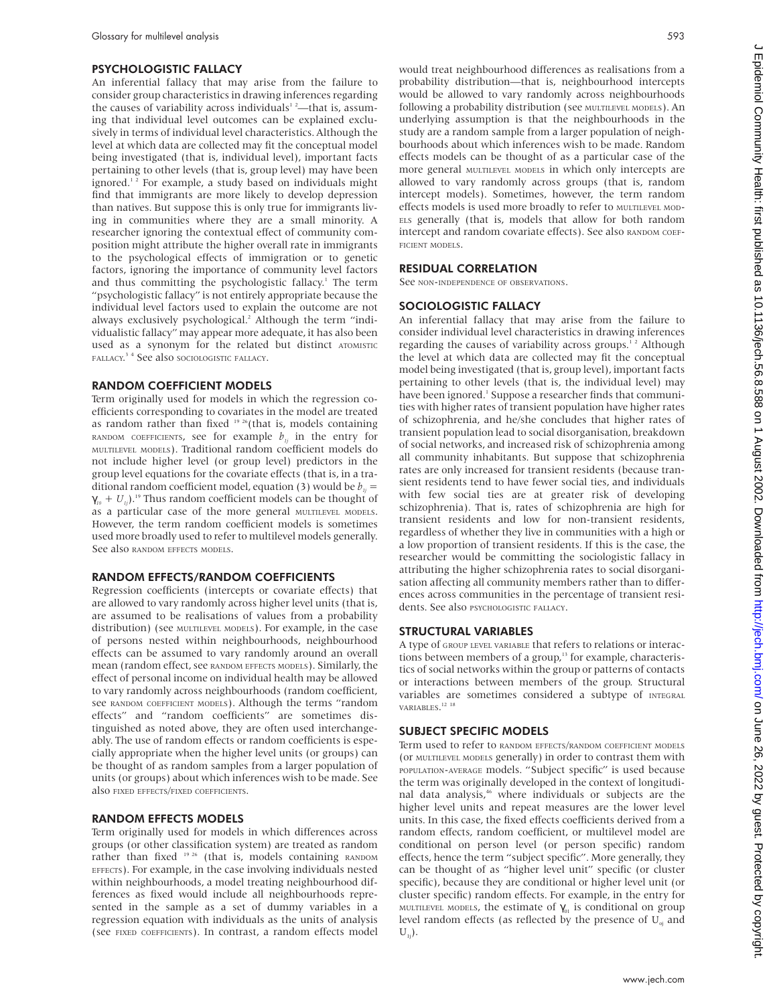#### PSYCHOLOGISTIC FALLACY

An inferential fallacy that may arise from the failure to consider group characteristics in drawing inferences regarding the causes of variability across individuals<sup>12</sup>—that is, assuming that individual level outcomes can be explained exclusively in terms of individual level characteristics. Although the level at which data are collected may fit the conceptual model being investigated (that is, individual level), important facts pertaining to other levels (that is, group level) may have been ignored.<sup>12</sup> For example, a study based on individuals might find that immigrants are more likely to develop depression than natives. But suppose this is only true for immigrants living in communities where they are a small minority. A researcher ignoring the contextual effect of community composition might attribute the higher overall rate in immigrants to the psychological effects of immigration or to genetic factors, ignoring the importance of community level factors and thus committing the psychologistic fallacy.<sup>1</sup> The term "psychologistic fallacy" is not entirely appropriate because the individual level factors used to explain the outcome are not always exclusively psychological.2 Although the term "individualistic fallacy" may appear more adequate, it has also been used as a synonym for the related but distinct ATOMISTIC FALLACY.<sup>34</sup> See also sociologistic fallacy.

# RANDOM COEFFICIENT MODELS

Term originally used for models in which the regression coefficients corresponding to covariates in the model are treated as random rather than fixed  $1926$ (that is, models containing RANDOM COEFFICIENTS, see for example  $b_{ij}$  in the entry for MULTILEVEL MODELS). Traditional random coefficient models do not include higher level (or group level) predictors in the group level equations for the covariate effects (that is, in a traditional random coefficient model, equation (3) would be  $b_{ij}$  =  $\gamma_{10} + U_{1i}$ ).<sup>19</sup> Thus random coefficient models can be thought of as a particular case of the more general MULTILEVEL MODELS. However, the term random coefficient models is sometimes used more broadly used to refer to multilevel models generally. See also RANDOM EFFECTS MODELS.

# RANDOM EFFECTS/RANDOM COEFFICIENTS

Regression coefficients (intercepts or covariate effects) that are allowed to vary randomly across higher level units (that is, are assumed to be realisations of values from a probability distribution) (see MULTILEVEL MODELS). For example, in the case of persons nested within neighbourhoods, neighbourhood effects can be assumed to vary randomly around an overall mean (random effect, see RANDOM EFFECTS MODELS). Similarly, the effect of personal income on individual health may be allowed to vary randomly across neighbourhoods (random coefficient, see RANDOM COEFFICIENT MODELS). Although the terms "random effects" and "random coefficients" are sometimes distinguished as noted above, they are often used interchangeably. The use of random effects or random coefficients is especially appropriate when the higher level units (or groups) can be thought of as random samples from a larger population of units (or groups) about which inferences wish to be made. See also FIXED EFFECTS/FIXED COEFFICIENTS.

#### RANDOM EFFECTS MODELS

Term originally used for models in which differences across groups (or other classification system) are treated as random rather than fixed <sup>19 26</sup> (that is, models containing RANDOM EFFECTS). For example, in the case involving individuals nested within neighbourhoods, a model treating neighbourhood differences as fixed would include all neighbourhoods represented in the sample as a set of dummy variables in a regression equation with individuals as the units of analysis (see FIXED COEFFICIENTS). In contrast, a random effects model

would treat neighbourhood differences as realisations from a probability distribution—that is, neighbourhood intercepts would be allowed to vary randomly across neighbourhoods following a probability distribution (see MULTILEVEL MODELS). An underlying assumption is that the neighbourhoods in the study are a random sample from a larger population of neighbourhoods about which inferences wish to be made. Random effects models can be thought of as a particular case of the more general MULTILEVEL MODELS in which only intercepts are allowed to vary randomly across groups (that is, random intercept models). Sometimes, however, the term random effects models is used more broadly to refer to MULTILEVEL MOD-ELS generally (that is, models that allow for both random intercept and random covariate effects). See also RANDOM COEF-FICIENT MODELS.

# RESIDUAL CORRELATION

See NON-INDEPENDENCE OF OBSERVATIONS.

# SOCIOLOGISTIC FALLACY

An inferential fallacy that may arise from the failure to consider individual level characteristics in drawing inferences regarding the causes of variability across groups.<sup>12</sup> Although the level at which data are collected may fit the conceptual model being investigated (that is, group level), important facts pertaining to other levels (that is, the individual level) may have been ignored.<sup>1</sup> Suppose a researcher finds that communities with higher rates of transient population have higher rates of schizophrenia, and he/she concludes that higher rates of transient population lead to social disorganisation, breakdown of social networks, and increased risk of schizophrenia among all community inhabitants. But suppose that schizophrenia rates are only increased for transient residents (because transient residents tend to have fewer social ties, and individuals with few social ties are at greater risk of developing schizophrenia). That is, rates of schizophrenia are high for transient residents and low for non-transient residents, regardless of whether they live in communities with a high or a low proportion of transient residents. If this is the case, the researcher would be committing the sociologistic fallacy in attributing the higher schizophrenia rates to social disorganisation affecting all community members rather than to differences across communities in the percentage of transient residents. See also *PSYCHOLOGISTIC FALLACY*.

#### STRUCTURAL VARIABLES

A type of GROUP LEVEL VARIABLE that refers to relations or interactions between members of a group,<sup>13</sup> for example, characteristics of social networks within the group or patterns of contacts or interactions between members of the group. Structural variables are sometimes considered a subtype of INTEGRAL VARIABLES. 12 18

# SUBJECT SPECIFIC MODELS

Term used to refer to RANDOM EFFECTS/RANDOM COEFFICIENT MODELS (or MULTILEVEL MODELS generally) in order to contrast them with POPULATION-AVERAGE models. "Subject specific" is used because the term was originally developed in the context of longitudinal data analysis,<sup>46</sup> where individuals or subjects are the higher level units and repeat measures are the lower level units. In this case, the fixed effects coefficients derived from a random effects, random coefficient, or multilevel model are conditional on person level (or person specific) random effects, hence the term "subject specific". More generally, they can be thought of as "higher level unit" specific (or cluster specific), because they are conditional or higher level unit (or cluster specific) random effects. For example, in the entry for MULTILEVEL MODELS, the estimate of  $\gamma_{01}$  is conditional on group level random effects (as reflected by the presence of  $U_{oi}$  and  $U_{1i}$ ).